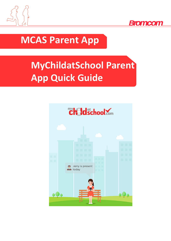



## **MCAS Parent App**

# **MyChildatSchool Parent App Quick Guide**

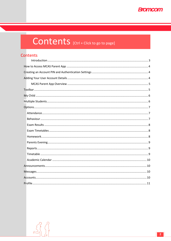

## Contents [Ctrl + Click to go to page]

## Contents

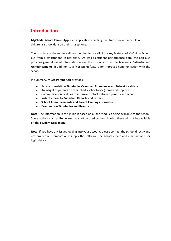## <span id="page-2-0"></span>**Introduction**

**MyChildatSchool Parent App** is an application enabling the **User** to view their child or children's school data on their smartphone.

The structure of the module allows the **User** to use all of the key features of MyChildatSchool but from a smartphone in real time. As well as student performance data, the app also provides general useful information about the school such as the **Academic Calendar** and **Announcements** in addition to a **Messaging** feature for improved communication with the school.

In summary, **MCAS Parent App** provides:

- Access to real-time **Timetable, Calendar**, **Attendance** and **Behavioural** data
- An insight to parents on their child's schoolwork (homework topics etc.)
- Communication facilities to improve contact between parents and schools
- Instant access to **Published Reports** and **Letters**
- **School Announcements and Parent Evening** information
- **Examination Timetables and Results**

**Note**: The information in this guide is based on all the modules being available to the school. Some options such as **Behaviour** may not be used by the school so these will not be available on the **Student Data menu**.

**Note**: If you have any issues logging into your account, please contact the school directly and not Bromcom. Bromcom only supply the software, the school create and maintain all User login details.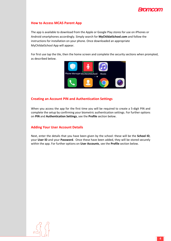

### <span id="page-3-0"></span>**How to Access MCAS Parent App**

The app is available to download from the Apple or Google Play stores for use on iPhones or Android smartphones accordingly. Simply search for **MyChildatSchool.com** and follow the instructions for installation on your phone. Once downloaded an appropriate MyChildatSchool App will appear.

For first use tap the tile, then the home screen and complete the security sections when prompted, as described below.



## <span id="page-3-1"></span>**Creating an Account PIN and Authentication Settings**

When you access the app for the first time you will be required to create a 5-digit PIN and complete the setup by confirming your biometric authentication settings. For further options on **PIN** and **Authentication Settings**, see the **Profile** section below.

## <span id="page-3-2"></span>**Adding Your User Account Details**

Next, enter the details that you have been given by the school: these will be the **School ID**, your **User ID** and your **Password**. Once these have been added, they will be stored securely within the app. For further options on **User Accounts**, see the **Profile** section below.

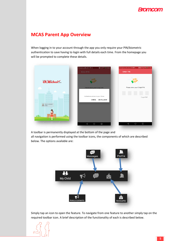

## <span id="page-4-0"></span>**MCAS Parent App Overview**

When logging in to your account through the app you only require your PIN/biometric authentication to save having to login with full details each time. From the homepage you will be prompted to complete these details.



A toolbar is permanently displayed at the bottom of the page and

all navigation is performed using the toolbar icons, the components of which are described below. The options available are:

<span id="page-4-1"></span>

Simply tap an icon to open the feature. To navigate from one feature to another simply tap on the required toolbar icon. A brief description of the functionality of each is described below.

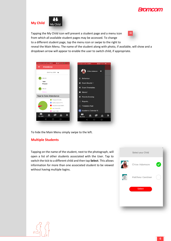

<span id="page-5-0"></span>**My Child**



Tapping the My Child icon will present a student page and a menu icon from which all available student pages may be accessed. To change to a different student page, tap the menu icon or swipe to the right to



reveal the Main Menu. The name of the student along with photo, if available, will show and a dropdown arrow will appear to enable the user to switch child, if appropriate.



To hide the Main Menu simply swipe to the left.

## <span id="page-5-1"></span>**Multiple Students**

Tapping on the name of the student, next to the photograph, will open a list of other students associated with the User. Tap to switch the tick to a different child and then tap **Select**. This allows information for more than one associated student to be viewed without having multiple logins.



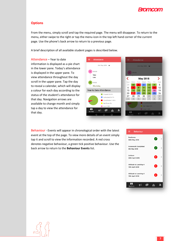

## <span id="page-6-0"></span>**Options**

From the menu, simply scroll and tap the required page. The menu will disappear. To return to the menu, either swipe to the right or tap the menu icon in the top left hand corner of the current page. Use the phone's back arrow to return to a previous page.

A brief description of all available student pages is described below.

#### <span id="page-6-1"></span>Attendance – Year to date

information is displayed as a pie chart in the lower pane. Today's attendance is displayed in the upper pane. To view attendance throughout the day scroll in the upper pane. Tap the day to reveal a calendar, which will display a colour for each day according to the status of the student's attendance for that day. Navigation arrows are available to change month and simply tap a day to view the attendance for that day.



<span id="page-6-2"></span>Behaviour - Events will appear in chronological order with the latest event at the top of the page. To view more details of an event simply tap it and scroll to view the information recorded. A red cross denotes negative behaviour, a green tick positive behaviour. Use the back arrow to return to the **Behaviour Events** list.



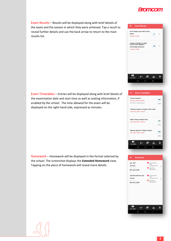

<span id="page-7-0"></span>Exam Results – Results will be displayed along with brief details of the exam and the season in which they were achieved. Tap a result to reveal further details and use the back arrow to return to the main results list.



<span id="page-7-1"></span>**Exam Timetables** Exam Timetables – Entries will be displayed along with brief details of the examination date and start time as well as seating information, if enabled by the school. The time allowed for the exam will be displayed on the right-hand side, expressed as minutes.

<span id="page-7-2"></span>Homework – Homework will be displayed in the format selected by the school. The screenshot displays the *Extended Homework* view. Tapping on the piece of homework will reveal more details.





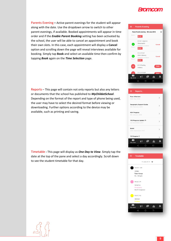

<span id="page-8-0"></span>Parents Evening **–** Active parent evenings for the student will appear along with the date. Use the dropdown arrow to switch to other parent evenings, if available. Booked appointments will appear in time order and if the *Enable Parent Booking* setting has been activated by the school, the user will be able to cancel an appointment and book their own slots. In this case, each appointment will display a **Cancel** option and scrolling down the page will reveal interviews available for booking. Simply tap **Book** and select an available time then confirm by tapping *Book* again on the *Time Selection* page.

<span id="page-8-1"></span>Reports – This page will contain not only reports but also any letters or documents that the school has published to *MyChildatSchool*. Depending on the format of the report and type of phone being used, the user may have to select the desired format before viewing or downloading. Further options according to the device may be available, such as printing and saving.

<span id="page-8-2"></span>Timetable **-** This page will display as *One Day to View*. Simply tap the date at the top of the pane and select a day accordingly. Scroll down to see the student timetable for that day.



| <b>Poor Attenders</b><br>30th May 2018       |   |  |  |
|----------------------------------------------|---|--|--|
| Geography Support Guide<br>9th February 2018 |   |  |  |
| <b>KS4 Progress</b><br>9th January 2018      | э |  |  |
| Y10 Progress Update T1<br>3rd November 2017  |   |  |  |
| Buses<br>20th September 2017                 |   |  |  |
| Y9 Progress 3<br>5                           |   |  |  |
| My Child                                     |   |  |  |
|                                              |   |  |  |

Reports



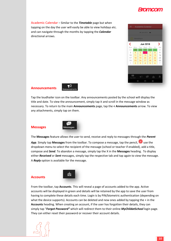

<span id="page-9-0"></span>Academic Calendar – Similar to the *Timetable* page but when tapping on the day the user will easily be able to view holidays etc. and can navigate through the months by tapping the *Calendar*  directional arrows.



#### <span id="page-9-1"></span>**Announcements**



Tap the loudhailer icon on the toolbar. Any announcements posted by the school will display the title and date. To view the announcement, simply tap it and scroll in the message window as necessary. To return to the main **Announcements** page, tap the **< Announcements** arrow. To view any attachments, simply tap on them.

### <span id="page-9-2"></span>**Messages**



The **Messages** feature allows the user to send, receive and reply to messages through the *Parent* 

App. Simply tap Messages from the toolbar. To compose a message, tap the pencil, **U** use the dropdown menu to select the recipient of the message (school or teacher if enabled), add a title, compose and *Send*. To abandon a message, simply tap the X in the **Messages** heading. To display either *Received* or *Sent* messages, simply tap the respective tab and tap again to view the message. A *Reply* option is available for the message.

#### <span id="page-9-3"></span>**Accounts**



From the toolbar, tap **Accounts**. This will reveal a page of accounts added to the app. Active accounts will be displayed in green and details will be retained by the app to save the user from having to complete these details each time. Login is by PIN/biometric authentication (depending on what the device supports). Accounts can be deleted and new ones added by tapping the  $+$  in the **Accounts** heading. When creating an account, if the user has forgotten their details, they can simply tap "*Forgot Password"* which will redirect them to their online *MyChildatSchool* login page. They can either reset their password or recover their account details.